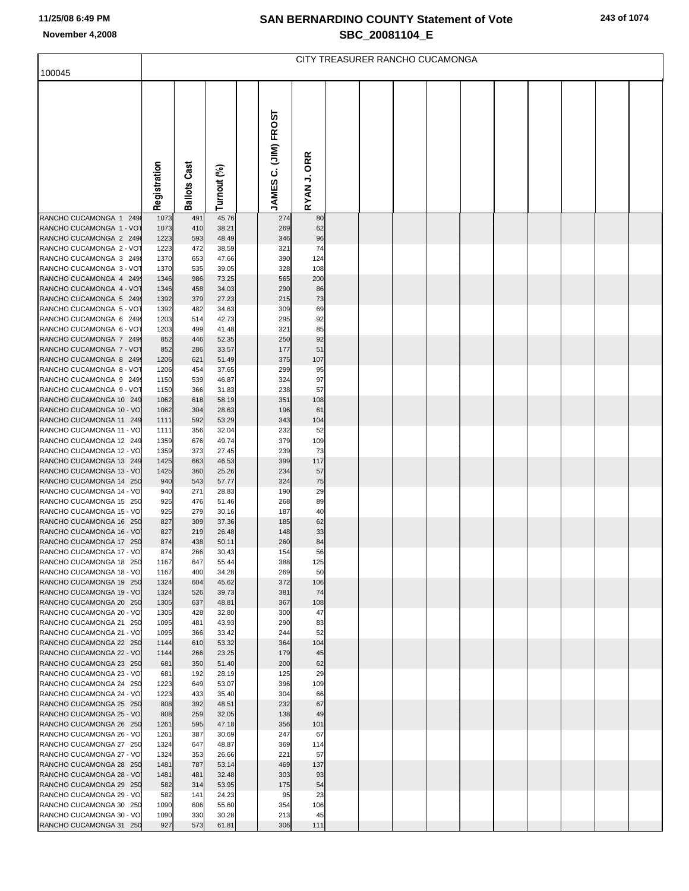# **SAN BERNARDINO COUNTY Statement of Vote November 4,2008 SBC\_20081104\_E**

|                                                     | CITY TREASURER RANCHO CUCAMONGA |                     |                |  |                      |             |  |  |  |  |  |  |  |  |  |
|-----------------------------------------------------|---------------------------------|---------------------|----------------|--|----------------------|-------------|--|--|--|--|--|--|--|--|--|
| 100045                                              |                                 |                     |                |  |                      |             |  |  |  |  |  |  |  |  |  |
|                                                     | Registration                    | <b>Ballots Cast</b> | Turnout (%)    |  | JAMES C. (JIM) FROST | RYAN J. ORR |  |  |  |  |  |  |  |  |  |
| RANCHO CUCAMONGA 1 249                              | 1073                            | 491                 | 45.76          |  | 274                  | 80          |  |  |  |  |  |  |  |  |  |
| RANCHO CUCAMONGA 1 - VOT                            | 1073                            | 410                 | 38.21          |  | 269                  | 62          |  |  |  |  |  |  |  |  |  |
| RANCHO CUCAMONGA 2 2498                             | 1223                            | 593                 | 48.49          |  | 346                  | 96          |  |  |  |  |  |  |  |  |  |
| RANCHO CUCAMONGA 2 - VOT                            | 1223                            | 472                 | 38.59          |  | 321                  | 74          |  |  |  |  |  |  |  |  |  |
| RANCHO CUCAMONGA 3 2498<br>RANCHO CUCAMONGA 3 - VOT | 1370<br>1370                    | 653<br>535          | 47.66<br>39.05 |  | 390<br>328           | 124<br>108  |  |  |  |  |  |  |  |  |  |
| RANCHO CUCAMONGA 4 2499                             | 1346                            | 986                 | 73.25          |  | 565                  | 200         |  |  |  |  |  |  |  |  |  |
| RANCHO CUCAMONGA 4 - VOT                            | 1346                            | 458                 | 34.03          |  | 290                  | 86          |  |  |  |  |  |  |  |  |  |
| RANCHO CUCAMONGA 5 249                              | 1392                            | 379                 | 27.23          |  | 215                  | 73          |  |  |  |  |  |  |  |  |  |
| RANCHO CUCAMONGA 5 - VOT<br>RANCHO CUCAMONGA 6 249  | 1392<br>1203                    | 482<br>514          | 34.63<br>42.73 |  | 309<br>295           | 69<br>92    |  |  |  |  |  |  |  |  |  |
| RANCHO CUCAMONGA 6 - VOT                            | 1203                            | 499                 | 41.48          |  | 321                  | 85          |  |  |  |  |  |  |  |  |  |
| RANCHO CUCAMONGA 7 249                              | 852                             | 446                 | 52.35          |  | 250                  | 92          |  |  |  |  |  |  |  |  |  |
| RANCHO CUCAMONGA 7 - VOT                            | 852                             | 286                 | 33.57          |  | 177                  | 51          |  |  |  |  |  |  |  |  |  |
| RANCHO CUCAMONGA 8 2499                             | 1206                            | 621                 | 51.49          |  | 375                  | 107         |  |  |  |  |  |  |  |  |  |
| RANCHO CUCAMONGA 8 - VOT<br>RANCHO CUCAMONGA 9 249  | 1206<br>1150                    | 454<br>539          | 37.65<br>46.87 |  | 299<br>324           | 95<br>97    |  |  |  |  |  |  |  |  |  |
| RANCHO CUCAMONGA 9 - VOT                            | 1150                            | 366                 | 31.83          |  | 238                  | 57          |  |  |  |  |  |  |  |  |  |
| RANCHO CUCAMONGA 10 249                             | 1062                            | 618                 | 58.19          |  | 351                  | 108         |  |  |  |  |  |  |  |  |  |
| RANCHO CUCAMONGA 10 - VO                            | 1062                            | 304                 | 28.63          |  | 196                  | 61          |  |  |  |  |  |  |  |  |  |
| RANCHO CUCAMONGA 11 249                             | 1111                            | 592                 | 53.29          |  | 343                  | 104         |  |  |  |  |  |  |  |  |  |
| RANCHO CUCAMONGA 11 - VO<br>RANCHO CUCAMONGA 12 249 | 1111<br>1359                    | 356<br>676          | 32.04<br>49.74 |  | 232<br>379           | 52<br>109   |  |  |  |  |  |  |  |  |  |
| RANCHO CUCAMONGA 12 - VO                            | 1359                            | 373                 | 27.45          |  | 239                  | 73          |  |  |  |  |  |  |  |  |  |
| RANCHO CUCAMONGA 13 249                             | 1425                            | 663                 | 46.53          |  | 399                  | 117         |  |  |  |  |  |  |  |  |  |
| RANCHO CUCAMONGA 13 - VO                            | 1425                            | 360                 | 25.26          |  | 234                  | 57          |  |  |  |  |  |  |  |  |  |
| RANCHO CUCAMONGA 14 250<br>RANCHO CUCAMONGA 14 - VO | 940<br>940                      | 543<br>271          | 57.77<br>28.83 |  | 324<br>190           | 75<br>29    |  |  |  |  |  |  |  |  |  |
| RANCHO CUCAMONGA 15 250                             | 925                             | 476                 | 51.46          |  | 268                  | 89          |  |  |  |  |  |  |  |  |  |
| RANCHO CUCAMONGA 15 - VO                            | 925                             | 279                 | 30.16          |  | 187                  | 40          |  |  |  |  |  |  |  |  |  |
| RANCHO CUCAMONGA 16 250                             | 827                             | 309                 | 37.36          |  | 185                  | 62          |  |  |  |  |  |  |  |  |  |
| RANCHO CUCAMONGA 16 - VO<br>RANCHO CUCAMONGA 17 250 | 827                             | 219                 | 26.48          |  | 148                  | 33          |  |  |  |  |  |  |  |  |  |
| RANCHO CUCAMONGA 17 - VO                            | 874<br>874                      | 438<br>266          | 50.11<br>30.43 |  | 260<br>154           | 84<br>56    |  |  |  |  |  |  |  |  |  |
| RANCHO CUCAMONGA 18 250                             | 1167                            | 647                 | 55.44          |  | 388                  | 125         |  |  |  |  |  |  |  |  |  |
| RANCHO CUCAMONGA 18 - VO                            | 1167                            | 400                 | 34.28          |  | 269                  | 50          |  |  |  |  |  |  |  |  |  |
| RANCHO CUCAMONGA 19 250                             | 1324                            | 604                 | 45.62          |  | 372                  | 106         |  |  |  |  |  |  |  |  |  |
| RANCHO CUCAMONGA 19 - VO<br>RANCHO CUCAMONGA 20 250 | 1324<br>1305                    | 526<br>637          | 39.73<br>48.81 |  | 381<br>367           | 74<br>108   |  |  |  |  |  |  |  |  |  |
| RANCHO CUCAMONGA 20 - VO                            | 1305                            | 428                 | 32.80          |  | 300                  | 47          |  |  |  |  |  |  |  |  |  |
| RANCHO CUCAMONGA 21 250                             | 1095                            | 481                 | 43.93          |  | 290                  | 83          |  |  |  |  |  |  |  |  |  |
| RANCHO CUCAMONGA 21 - VO                            | 1095                            | 366                 | 33.42          |  | 244                  | 52          |  |  |  |  |  |  |  |  |  |
| RANCHO CUCAMONGA 22 250<br>RANCHO CUCAMONGA 22 - VO | 1144<br>1144                    | 610<br>266          | 53.32<br>23.25 |  | 364<br>179           | 104<br>45   |  |  |  |  |  |  |  |  |  |
| RANCHO CUCAMONGA 23 250                             | 681                             | 350                 | 51.40          |  | 200                  | 62          |  |  |  |  |  |  |  |  |  |
| RANCHO CUCAMONGA 23 - VO                            | 681                             | 192                 | 28.19          |  | 125                  | 29          |  |  |  |  |  |  |  |  |  |
| RANCHO CUCAMONGA 24 250                             | 1223                            | 649                 | 53.07          |  | 396                  | 109         |  |  |  |  |  |  |  |  |  |
| RANCHO CUCAMONGA 24 - VO                            | 1223                            | 433                 | 35.40          |  | 304                  | 66          |  |  |  |  |  |  |  |  |  |
| RANCHO CUCAMONGA 25 250<br>RANCHO CUCAMONGA 25 - VO | 808<br>808                      | 392<br>259          | 48.51<br>32.05 |  | 232<br>138           | 67<br>49    |  |  |  |  |  |  |  |  |  |
| RANCHO CUCAMONGA 26 250                             | 1261                            | 595                 | 47.18          |  | 356                  | 101         |  |  |  |  |  |  |  |  |  |
| RANCHO CUCAMONGA 26 - VO                            | 1261                            | 387                 | 30.69          |  | 247                  | 67          |  |  |  |  |  |  |  |  |  |
| RANCHO CUCAMONGA 27 250                             | 1324                            | 647                 | 48.87          |  | 369                  | 114         |  |  |  |  |  |  |  |  |  |
| RANCHO CUCAMONGA 27 - VO                            | 1324                            | 353                 | 26.66          |  | 221                  | 57          |  |  |  |  |  |  |  |  |  |
| RANCHO CUCAMONGA 28 250<br>RANCHO CUCAMONGA 28 - VO | 1481<br>1481                    | 787<br>481          | 53.14<br>32.48 |  | 469<br>303           | 137<br>93   |  |  |  |  |  |  |  |  |  |
| RANCHO CUCAMONGA 29 250                             | 582                             | 314                 | 53.95          |  | 175                  | 54          |  |  |  |  |  |  |  |  |  |
| RANCHO CUCAMONGA 29 - VO                            | 582                             | 141                 | 24.23          |  | 95                   | 23          |  |  |  |  |  |  |  |  |  |
| RANCHO CUCAMONGA 30 250                             | 1090                            | 606                 | 55.60          |  | 354                  | 106         |  |  |  |  |  |  |  |  |  |
| RANCHO CUCAMONGA 30 - VO                            | 1090                            | 330                 | 30.28          |  | 213                  | 45          |  |  |  |  |  |  |  |  |  |
| RANCHO CUCAMONGA 31 250                             | 927                             | 573                 | 61.81          |  | 306                  | 111         |  |  |  |  |  |  |  |  |  |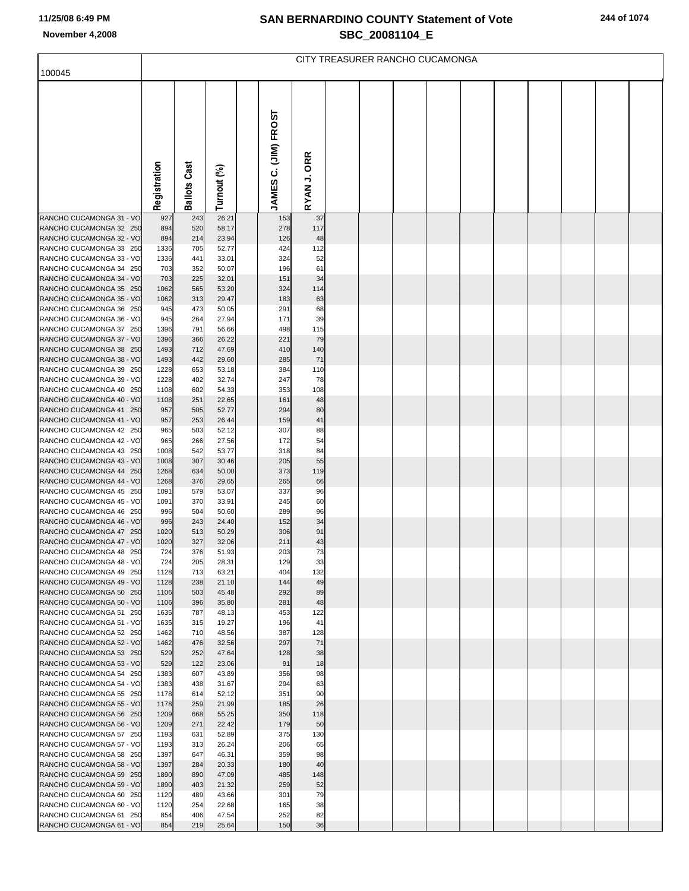# **SAN BERNARDINO COUNTY Statement of Vote November 4,2008 SBC\_20081104\_E**

|                                                     | CITY TREASURER RANCHO CUCAMONGA |                     |                |  |                             |                       |  |  |  |  |  |  |  |  |  |
|-----------------------------------------------------|---------------------------------|---------------------|----------------|--|-----------------------------|-----------------------|--|--|--|--|--|--|--|--|--|
| 100045                                              |                                 |                     |                |  |                             |                       |  |  |  |  |  |  |  |  |  |
|                                                     | Registration                    | <b>Ballots Cast</b> | Turnout (%)    |  | <b>JAMES C. (JIM) FROST</b> | <b>ORR</b><br>RYAN J. |  |  |  |  |  |  |  |  |  |
| RANCHO CUCAMONGA 31 - VO                            | 927                             | 243                 | 26.21          |  | 153                         | 37                    |  |  |  |  |  |  |  |  |  |
| RANCHO CUCAMONGA 32 250                             | 894                             | 520                 | 58.17          |  | 278                         | 117                   |  |  |  |  |  |  |  |  |  |
| RANCHO CUCAMONGA 32 - VO                            | 894                             | 214                 | 23.94          |  | 126                         | 48                    |  |  |  |  |  |  |  |  |  |
| RANCHO CUCAMONGA 33 250<br>RANCHO CUCAMONGA 33 - VO | 1336<br>1336                    | 705<br>441          | 52.77<br>33.01 |  | 424<br>324                  | 112<br>52             |  |  |  |  |  |  |  |  |  |
| RANCHO CUCAMONGA 34 250                             | 703                             | 352                 | 50.07          |  | 196                         | 61                    |  |  |  |  |  |  |  |  |  |
| RANCHO CUCAMONGA 34 - VO                            | 703                             | 225                 | 32.01          |  | 151                         | 34                    |  |  |  |  |  |  |  |  |  |
| RANCHO CUCAMONGA 35 250                             | 1062                            | 565                 | 53.20          |  | 324                         | 114                   |  |  |  |  |  |  |  |  |  |
| RANCHO CUCAMONGA 35 - VO                            | 1062                            | 313                 | 29.47          |  | 183                         | 63                    |  |  |  |  |  |  |  |  |  |
| RANCHO CUCAMONGA 36 250<br>RANCHO CUCAMONGA 36 - VO | 945<br>945                      | 473<br>264          | 50.05<br>27.94 |  | 291<br>171                  | 68<br>39              |  |  |  |  |  |  |  |  |  |
| RANCHO CUCAMONGA 37 250                             | 1396                            | 791                 | 56.66          |  | 498                         | 115                   |  |  |  |  |  |  |  |  |  |
| RANCHO CUCAMONGA 37 - VO                            | 1396                            | 366                 | 26.22          |  | 221                         | 79                    |  |  |  |  |  |  |  |  |  |
| RANCHO CUCAMONGA 38 250                             | 1493                            | 712                 | 47.69          |  | 410                         | 140                   |  |  |  |  |  |  |  |  |  |
| RANCHO CUCAMONGA 38 - VO<br>RANCHO CUCAMONGA 39 250 | 1493<br>1228                    | 442<br>653          | 29.60<br>53.18 |  | 285<br>384                  | 71<br>110             |  |  |  |  |  |  |  |  |  |
| RANCHO CUCAMONGA 39 - VO                            | 1228                            | 402                 | 32.74          |  | 247                         | 78                    |  |  |  |  |  |  |  |  |  |
| RANCHO CUCAMONGA 40 250                             | 1108                            | 602                 | 54.33          |  | 353                         | 108                   |  |  |  |  |  |  |  |  |  |
| RANCHO CUCAMONGA 40 - VO                            | 1108                            | 251                 | 22.65          |  | 161                         | 48                    |  |  |  |  |  |  |  |  |  |
| RANCHO CUCAMONGA 41 250                             | 957                             | 505                 | 52.77          |  | 294                         | 80                    |  |  |  |  |  |  |  |  |  |
| RANCHO CUCAMONGA 41 - VO<br>RANCHO CUCAMONGA 42 250 | 957<br>965                      | 253<br>503          | 26.44<br>52.12 |  | 159<br>307                  | 41<br>88              |  |  |  |  |  |  |  |  |  |
| RANCHO CUCAMONGA 42 - VO                            | 965                             | 266                 | 27.56          |  | 172                         | 54                    |  |  |  |  |  |  |  |  |  |
| RANCHO CUCAMONGA 43 250                             | 1008                            | 542                 | 53.77          |  | 318                         | 84                    |  |  |  |  |  |  |  |  |  |
| RANCHO CUCAMONGA 43 - VO                            | 1008                            | 307                 | 30.46          |  | 205                         | 55                    |  |  |  |  |  |  |  |  |  |
| RANCHO CUCAMONGA 44 250<br>RANCHO CUCAMONGA 44 - VO | 1268<br>1268                    | 634<br>376          | 50.00<br>29.65 |  | 373<br>265                  | 119<br>66             |  |  |  |  |  |  |  |  |  |
| RANCHO CUCAMONGA 45 250                             | 1091                            | 579                 | 53.07          |  | 337                         | 96                    |  |  |  |  |  |  |  |  |  |
| RANCHO CUCAMONGA 45 - VO                            | 1091                            | 370                 | 33.91          |  | 245                         | 60                    |  |  |  |  |  |  |  |  |  |
| RANCHO CUCAMONGA 46 250                             | 996                             | 504                 | 50.60          |  | 289                         | 96                    |  |  |  |  |  |  |  |  |  |
| RANCHO CUCAMONGA 46 - VO                            | 996                             | 243                 | 24.40          |  | 152                         | 34                    |  |  |  |  |  |  |  |  |  |
| RANCHO CUCAMONGA 47 250<br>RANCHO CUCAMONGA 47 - VO | 1020<br>1020                    | 513<br>327          | 50.29<br>32.06 |  | 306<br>211                  | 91<br>43              |  |  |  |  |  |  |  |  |  |
| RANCHO CUCAMONGA 48 250                             | 724                             | 376                 | 51.93          |  | 203                         | 73                    |  |  |  |  |  |  |  |  |  |
| RANCHO CUCAMONGA 48 - VO                            | 724                             | 205                 | 28.31          |  | 129                         | 33                    |  |  |  |  |  |  |  |  |  |
| RANCHO CUCAMONGA 49 250                             | 1128                            | 713                 | 63.21          |  | 404                         | 132                   |  |  |  |  |  |  |  |  |  |
| RANCHO CUCAMONGA 49 - VO<br>RANCHO CUCAMONGA 50 250 | 1128<br>1106                    | 238<br>503          | 21.10<br>45.48 |  | 144<br>292                  | 49<br>89              |  |  |  |  |  |  |  |  |  |
| RANCHO CUCAMONGA 50 - VO                            | 1106                            | 396                 | 35.80          |  | 281                         | 48                    |  |  |  |  |  |  |  |  |  |
| RANCHO CUCAMONGA 51 250                             | 1635                            | 787                 | 48.13          |  | 453                         | 122                   |  |  |  |  |  |  |  |  |  |
| RANCHO CUCAMONGA 51 - VO                            | 1635                            | 315                 | 19.27          |  | 196                         | 41                    |  |  |  |  |  |  |  |  |  |
| RANCHO CUCAMONGA 52 250                             | 1462                            | 710<br>476          | 48.56          |  | 387<br>297                  | 128                   |  |  |  |  |  |  |  |  |  |
| RANCHO CUCAMONGA 52 - VO<br>RANCHO CUCAMONGA 53 250 | 1462<br>529                     | 252                 | 32.56<br>47.64 |  | 128                         | 71<br>38              |  |  |  |  |  |  |  |  |  |
| RANCHO CUCAMONGA 53 - VO                            | 529                             | 122                 | 23.06          |  | 91                          | 18                    |  |  |  |  |  |  |  |  |  |
| RANCHO CUCAMONGA 54 250                             | 1383                            | 607                 | 43.89          |  | 356                         | 98                    |  |  |  |  |  |  |  |  |  |
| RANCHO CUCAMONGA 54 - VO                            | 1383                            | 438                 | 31.67          |  | 294                         | 63                    |  |  |  |  |  |  |  |  |  |
| RANCHO CUCAMONGA 55 250<br>RANCHO CUCAMONGA 55 - VO | 1178<br>1178                    | 614<br>259          | 52.12<br>21.99 |  | 351<br>185                  | 90<br>26              |  |  |  |  |  |  |  |  |  |
| RANCHO CUCAMONGA 56 250                             | 1209                            | 668                 | 55.25          |  | 350                         | 118                   |  |  |  |  |  |  |  |  |  |
| RANCHO CUCAMONGA 56 - VO                            | 1209                            | 271                 | 22.42          |  | 179                         | 50                    |  |  |  |  |  |  |  |  |  |
| RANCHO CUCAMONGA 57 250                             | 1193                            | 631                 | 52.89          |  | 375                         | 130                   |  |  |  |  |  |  |  |  |  |
| RANCHO CUCAMONGA 57 - VO                            | 1193                            | 313                 | 26.24          |  | 206                         | 65                    |  |  |  |  |  |  |  |  |  |
| RANCHO CUCAMONGA 58 250<br>RANCHO CUCAMONGA 58 - VO | 1397<br>1397                    | 647<br>284          | 46.31<br>20.33 |  | 359<br>180                  | 98<br>40              |  |  |  |  |  |  |  |  |  |
| RANCHO CUCAMONGA 59 250                             | 1890                            | 890                 | 47.09          |  | 485                         | 148                   |  |  |  |  |  |  |  |  |  |
| RANCHO CUCAMONGA 59 - VO                            | 1890                            | 403                 | 21.32          |  | 259                         | 52                    |  |  |  |  |  |  |  |  |  |
| RANCHO CUCAMONGA 60 250                             | 1120                            | 489                 | 43.66          |  | 301                         | 79                    |  |  |  |  |  |  |  |  |  |
| RANCHO CUCAMONGA 60 - VO<br>RANCHO CUCAMONGA 61 250 | 1120<br>854                     | 254<br>406          | 22.68<br>47.54 |  | 165<br>252                  | 38<br>82              |  |  |  |  |  |  |  |  |  |
| RANCHO CUCAMONGA 61 - VO                            | 854                             | 219                 | 25.64          |  | 150                         | 36                    |  |  |  |  |  |  |  |  |  |
|                                                     |                                 |                     |                |  |                             |                       |  |  |  |  |  |  |  |  |  |